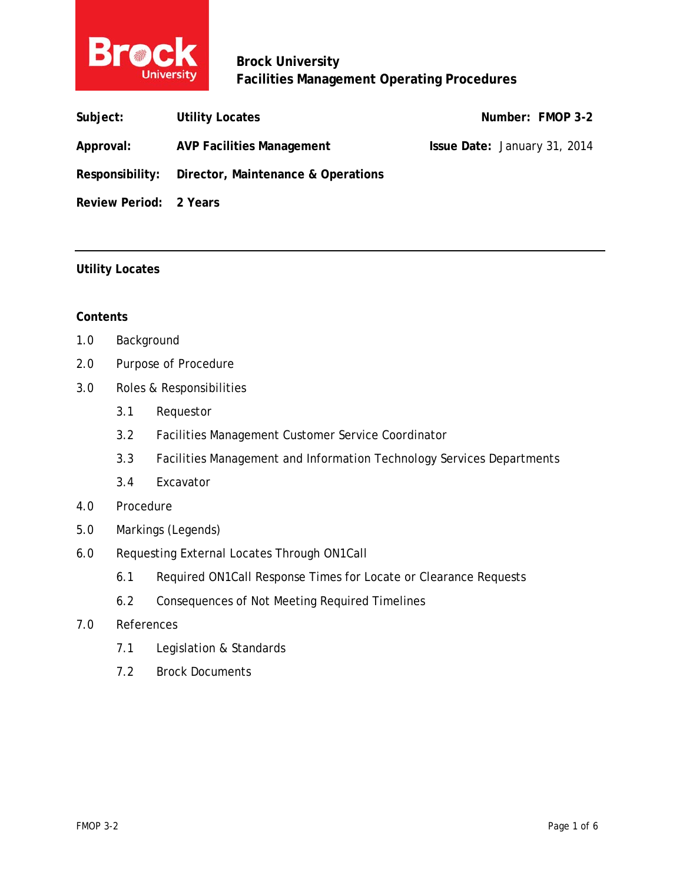

**Brock University Facilities Management Operating Procedures** 

| Subject:               | <b>Utility Locates</b>                             | Number: FMOP 3-2             |
|------------------------|----------------------------------------------------|------------------------------|
| Approval:              | <b>AVP Facilities Management</b>                   | Issue Date: January 31, 2014 |
|                        | Responsibility: Director, Maintenance & Operations |                              |
| Review Period: 2 Years |                                                    |                              |

## **Utility Locates**

#### **Contents**

- 1.0 Background
- 2.0 Purpose of Procedure
- 3.0 Roles & Responsibilities
	- 3.1 Requestor
	- 3.2 Facilities Management Customer Service Coordinator
	- 3.3 Facilities Management and Information Technology Services Departments
	- 3.4 Excavator
- 4.0 Procedure
- 5.0 Markings (Legends)
- 6.0 Requesting External Locates Through ON1Call
	- 6.1 Required ON1Call Response Times for Locate or Clearance Requests
	- 6.2 Consequences of Not Meeting Required Timelines
- 7.0 References
	- 7.1 Legislation & Standards
	- 7.2 Brock Documents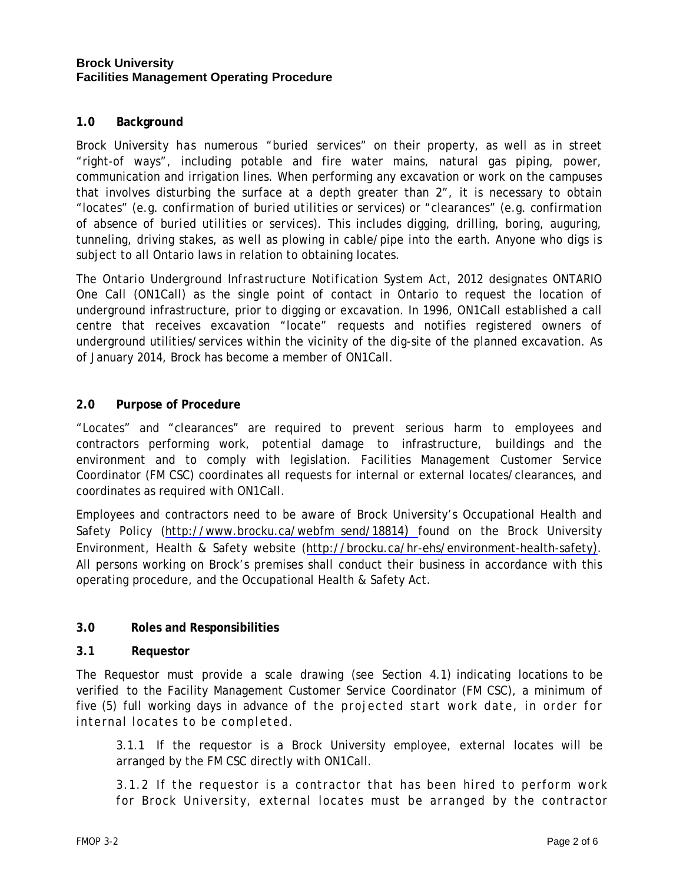### **Brock University Facilities Management Operating Procedure**

## **1.0 Background**

Brock University has numerous "buried services" on their property, as well as in street "right-of ways", including potable and fire water mains, natural gas piping, power, communication and irrigation lines. When performing any excavation or work on the campuses that involves disturbing the surface at a depth greater than 2", it is necessary to obtain "locates" (e.g. *confirmation of buried utilities or services*) or "clearances" (e.g. *confirmation of absence of buried utilities or services*). This includes digging, drilling, boring, auguring, tunneling, driving stakes, as well as plowing in cable/pipe into the earth. Anyone who digs is subject to all Ontario laws in relation to obtaining locates.

The *Ontario Underground Infrastructure Notification System Act, 2012* designates ONTARIO One Call (ON1Call) as the single point of contact in Ontario to request the location of underground infrastructure, prior to digging or excavation. In 1996, ON1Call established a call centre that receives excavation "locate" requests and notifies registered owners of underground utilities/services within the vicinity of the dig-site of the planned excavation. As of January 2014, Brock has become a member of ON1Call.

## **2.0 Purpose of Procedure**

"Locates" and "clearances" are required to prevent serious harm to employees and contractors performing work, potential damage to infrastructure, buildings and the environment and to comply with legislation. Facilities Management Customer Service Coordinator (FM CSC) coordinates all requests for internal or external locates/clearances, and coordinates as required with ON1Call.

Employees and contractors need to be aware of Brock University's Occupational Health and Safety Policy (http://www.brocku.ca/webfm\_send/18814) found on the Brock University Environment, Health & Safety website (http://brocku.ca/hr-ehs/environment-health-safety). All persons working on Brock's premises shall conduct their business in accordance with this operating procedure, and the Occupational Health & Safety Act.

## **3.0 Roles and Responsibilities**

#### **3.1 Requestor**

The Requestor must provide a scale drawing (see Section 4.1) indicating locations to be verified to the Facility Management Customer Service Coordinator (FM CSC), a minimum of five (5) full working days in advance of the projected start work date, in order for internal locates to be completed.

 3.1.1 If the requestor is a Brock University employee, external locates will be arranged by the FM CSC directly with ON1Call.

 3.1.2 If the requestor is a contractor that has been hired to perform work for Brock University, external locates must be arranged by the contractor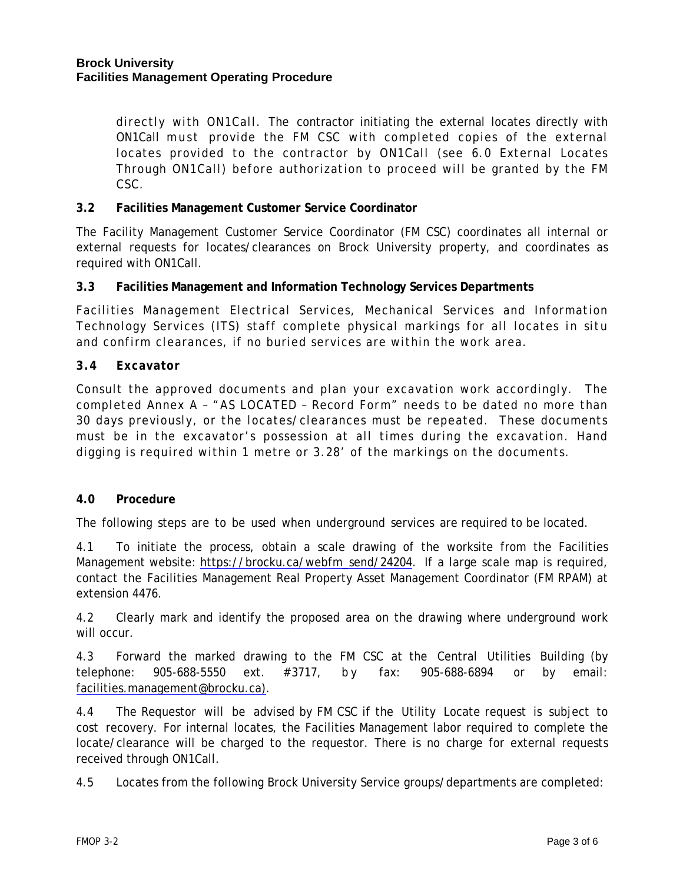directly with ON1Call. The contractor initiating the external locates directly with ON1Call must provide the FM CSC with completed copies of the external locates provided to the contractor by ON1Call (see 6.0 External Locates Through ON1Call) before authorization to proceed will be granted by the FM CSC.

### **3.2 Facilities Management Customer Service Coordinator**

The Facility Management Customer Service Coordinator (FM CSC) coordinates all internal or external requests for locates/clearances on Brock University property, and coordinates as required with ON1Call.

### **3.3 Facilities Management and Information Technology Services Departments**

Facilities Management Electrical Services, Mechanical Services and Information Technology Services (ITS) staff complete physical markings for all locates *in situ* and confirm clearances, if no buried services are within the work area.

### **3.4 Excavator**

Consult the approved documents and plan your excavation work accordingly. The completed Annex A – "*AS LOCATED – Record Form*" needs to be dated no more than 30 days previously, or the locates/clearances must be repeated. These documents must be in the excavator's possession at all times during the excavation. Hand digging is required within 1 metre or 3.28' of the markings on the documents.

#### **4.0 Procedure**

The following steps are to be used when underground services are required to be located.

4.1 To initiate the process, obtain a scale drawing of the worksite from the Facilities Management website: https://brocku.ca/webfm\_send/24204. If a large scale map is required, contact the Facilities Management Real Property Asset Management Coordinator (FM RPAM) at extension 4476.

4.2 Clearly mark and identify the proposed area on the drawing where underground work will occur.

4.3 Forward the marked drawing to the FM CSC at the Central Utilities Building (by telephone: 905-688-5550 ext. # 3717, b y fax: 905-688-6894 or by email: facilities.management@brocku.ca).

4.4 The Requestor will be advised by FM CSC if the Utility Locate request is subject to cost recovery. For internal locates, the Facilities Management labor required to complete the locate/clearance will be charged to the requestor. There is no charge for external requests received through ON1Call.

4.5 Locates from the following Brock University Service groups/departments are completed: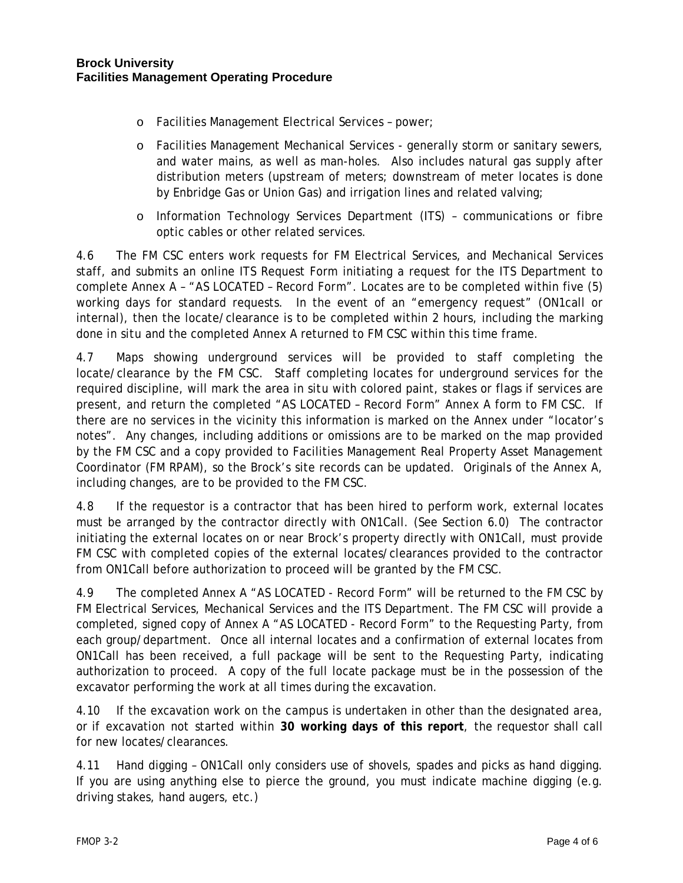- o Facilities Management Electrical Services power;
- o Facilities Management Mechanical Services generally storm or sanitary sewers, and water mains, as well as man-holes. Also includes natural gas supply after distribution meters (upstream of meters; downstream of meter locates is done by Enbridge Gas or Union Gas) and irrigation lines and related valving;
- o Information Technology Services Department (ITS) communications or fibre optic cables or other related services.

4.6 The FM CSC enters work requests for FM Electrical Services, and Mechanical Services staff, and submits an online ITS Request Form initiating a request for the ITS Department to complete Annex A – "*AS LOCATED – Record Form".* Locates are to be completed within five (5) working days for standard requests. In the event of an "emergency request" (ON1call or internal), then the locate/clearance is to be completed within 2 hours, including the marking done *in situ* and the completed Annex A returned to FM CSC within this time frame.

4.7 Maps showing underground services will be provided to staff completing the locate/clearance by the FM CSC. Staff completing locates for underground services for the required discipline, will mark the area *in situ* with colored paint, stakes or flags if services are present, and return the completed "*AS LOCATED – Record Form"* Annex A form to FM CSC. If there are no services in the vicinity this information is marked on the Annex under "locator's notes". Any changes, including additions or omissions are to be marked on the map provided by the FM CSC and a copy provided to Facilities Management Real Property Asset Management Coordinator (FM RPAM), so the Brock's site records can be updated. Originals of the Annex A, including changes, are to be provided to the FM CSC.

4.8 If the requestor is a contractor that has been hired to perform work, external locates must be arranged by the contractor directly with ON1Call. *(See Section 6.0)* The contractor initiating the external locates on or near Brock's property directly with ON1Call, must provide FM CSC with completed copies of the external locates/clearances provided to the contractor from ON1Call before authorization to proceed will be granted by the FM CSC.

4.9 The completed Annex A "*AS LOCATED - Record Form*" will be returned to the FM CSC by FM Electrical Services, Mechanical Services and the ITS Department. The FM CSC will provide a completed, signed copy of Annex A "*AS LOCATED - Record Form*" to the Requesting Party, from each group/department. Once all internal locates and a confirmation of external locates from ON1Call has been received, a full package will be sent to the Requesting Party, indicating authorization to proceed. A copy of the full locate package must be in the possession of the excavator performing the work at all times during the excavation.

4.10 If the excavation work on the campus is undertaken in other than the designated area, or if excavation not started within **30 working days of this report**, the requestor shall call for new locates/clearances.

4.11 Hand digging – ON1Call only considers use of shovels, spades and picks as hand digging. If you are using anything else to pierce the ground, you must indicate machine digging (e.g. driving stakes, hand augers, etc.)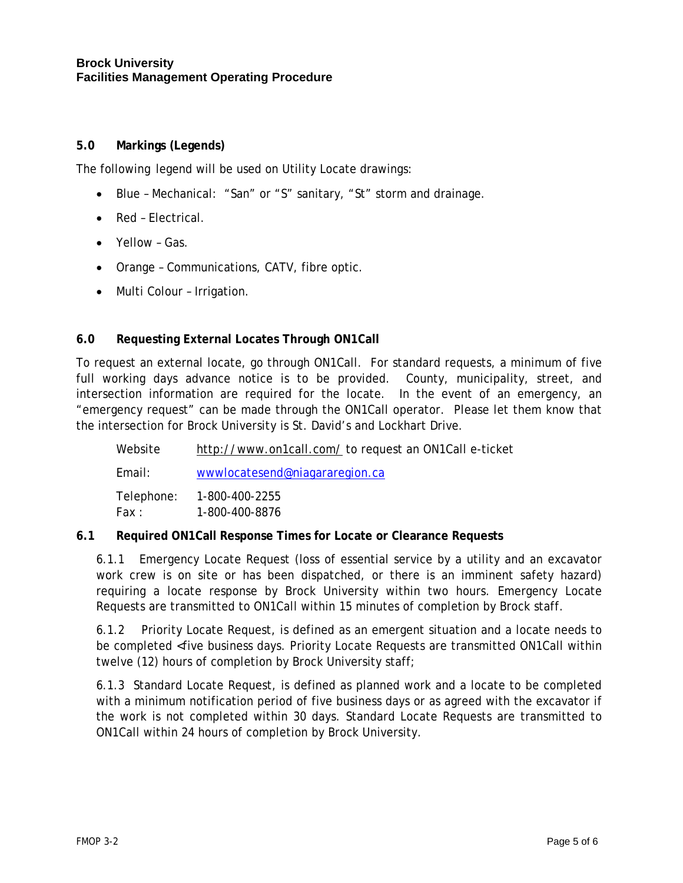### **Brock University Facilities Management Operating Procedure**

## **5.0 Markings (Legends)**

The following legend will be used on Utility Locate drawings:

- Blue Mechanical: "San" or "S" sanitary, "St" storm and drainage.
- Red Electrical.
- Yellow Gas.
- Orange Communications, CATV, fibre optic.
- Multi Colour Irrigation.

# **6.0 Requesting External Locates Through ON1Call**

To request an external locate, go through ON1Call. For standard requests, a minimum of five full working days advance notice is to be provided. County, municipality, street, and intersection information are required for the locate. In the event of an emergency, an "emergency request" can be made through the ON1Call operator. Please let them know that the intersection for Brock University is St. David's and Lockhart Drive.

| Website             | http://www.on1call.com/to request an ON1Call e-ticket |  |
|---------------------|-------------------------------------------------------|--|
| Email:              | wwwlocatesend@niagararegion.ca                        |  |
| Telephone:<br>Fax : | 1-800-400-2255<br>1-800-400-8876                      |  |

## **6.1 Required ON1Call Response Times for Locate or Clearance Requests**

6.1.1 Emergency Locate Request (loss of essential service by a utility and an excavator work crew is on site or has been dispatched, or there is an imminent safety hazard) requiring a locate response by Brock University within two hours. Emergency Locate Requests are transmitted to ON1Call within 15 minutes of completion by Brock staff.

6.1.2 Priority Locate Request, is defined as an emergent situation and a locate needs to be completed <five business days. Priority Locate Requests are transmitted ON1Call within twelve (12) hours of completion by Brock University staff;

6.1.3 Standard Locate Request, is defined as planned work and a locate to be completed with a minimum notification period of five business days or as agreed with the excavator if the work is not completed within 30 days. Standard Locate Requests are transmitted to ON1Call within 24 hours of completion by Brock University.